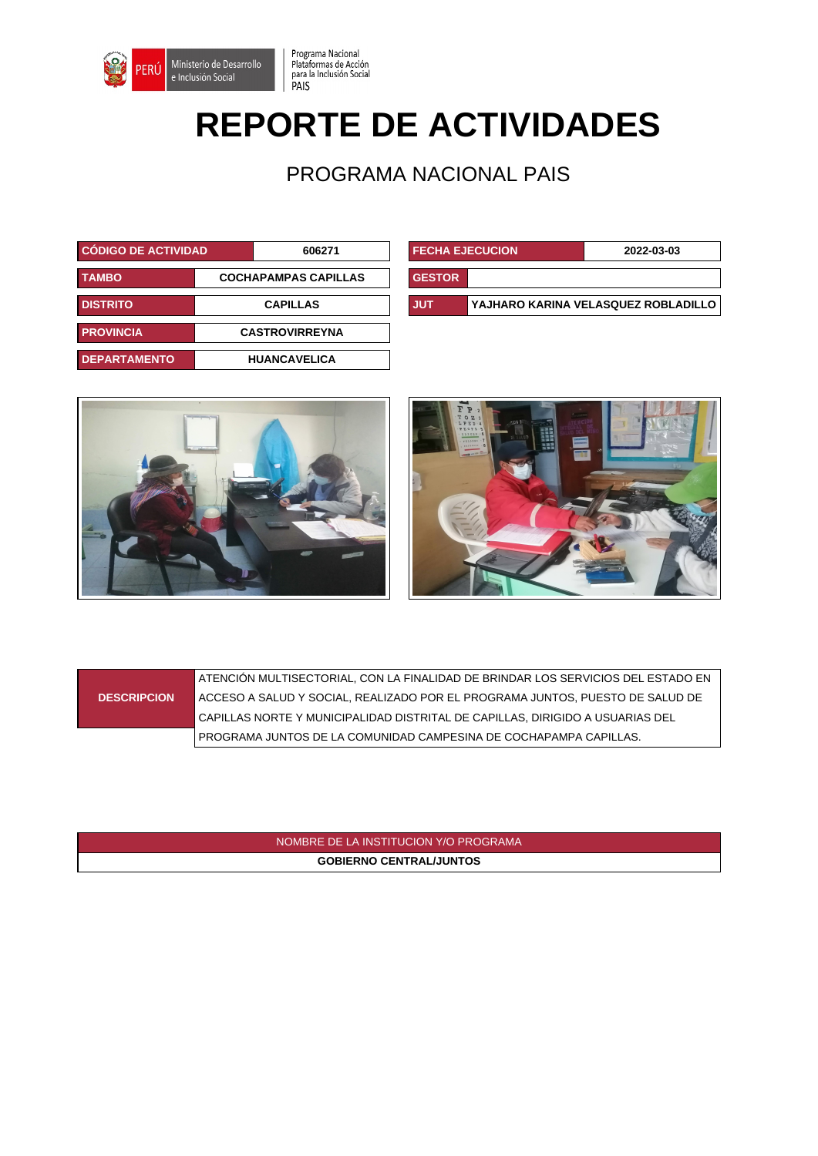

## **REPORTE DE ACTIVIDADES**

Programa Nacional<br>Plataformas de Acción<br>para la Inclusión Social<br>PAIS

PROGRAMA NACIONAL PAIS

| <b>CÓDIGO DE ACTIVIDAD</b> |                             | 606271                | <b>FECHA EJECUCION</b> | 2022-03-03                          |
|----------------------------|-----------------------------|-----------------------|------------------------|-------------------------------------|
| <b>TAMBO</b>               | <b>COCHAPAMPAS CAPILLAS</b> |                       | <b>GESTOR</b>          |                                     |
| <b>DISTRITO</b>            | <b>CAPILLAS</b>             |                       | <b>JUT</b>             | YAJHARO KARINA VELASQUEZ ROBLADILLO |
| <b>PROVINCIA</b>           |                             | <b>CASTROVIRREYNA</b> |                        |                                     |
| <b>DEPARTAMENTO</b>        |                             | <b>HUANCAVELICA</b>   |                        |                                     |

| <b>I FECHA EJECUCION</b> |                                     | 2022-03-03 |  |
|--------------------------|-------------------------------------|------------|--|
| <b>GESTOR</b>            |                                     |            |  |
| <b>JUT</b>               | YAJHARO KARINA VELASQUEZ ROBLADILLO |            |  |





|                    | ATENCIÓN MULTISECTORIAL, CON LA FINALIDAD DE BRINDAR LOS SERVICIOS DEL ESTADO EN |
|--------------------|----------------------------------------------------------------------------------|
| <b>DESCRIPCION</b> | ∣ ACCESO A SALUD Y SOCIAL, REALIZADO POR EL PROGRAMA JUNTOS, PUESTO DE SALUD DE  |
|                    | CAPILLAS NORTE Y MUNICIPALIDAD DISTRITAL DE CAPILLAS, DIRIGIDO A USUARIAS DEL    |
|                    | PROGRAMA JUNTOS DE LA COMUNIDAD CAMPESINA DE COCHAPAMPA CAPILLAS.                |

NOMBRE DE LA INSTITUCION Y/O PROGRAMA **GOBIERNO CENTRAL/JUNTOS**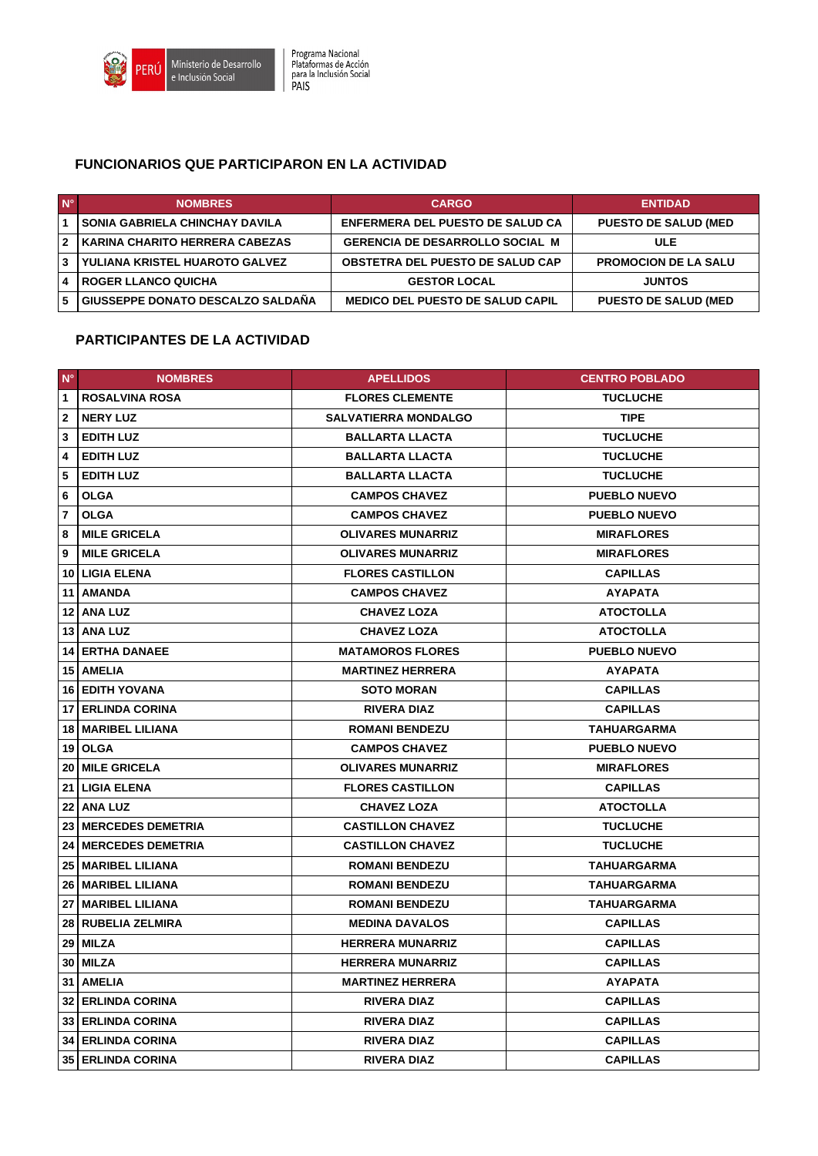

## **FUNCIONARIOS QUE PARTICIPARON EN LA ACTIVIDAD**

| $N^{\circ}$             | <b>NOMBRES</b>                        | <b>CARGO</b>                            | <b>ENTIDAD</b>              |
|-------------------------|---------------------------------------|-----------------------------------------|-----------------------------|
|                         | <b>SONIA GABRIELA CHINCHAY DAVILA</b> | <b>ENFERMERA DEL PUESTO DE SALUD CA</b> | <b>PUESTO DE SALUD (MED</b> |
| $\overline{\mathbf{z}}$ | KARINA CHARITO HERRERA CABEZAS        | <b>GERENCIA DE DESARROLLO SOCIAL M</b>  | <b>ULE</b>                  |
| 3                       | YULIANA KRISTEL HUAROTO GALVEZ        | <b>OBSTETRA DEL PUESTO DE SALUD CAP</b> | <b>PROMOCION DE LA SALU</b> |
|                         | I ROGER LLANCO QUICHA                 | <b>GESTOR LOCAL</b>                     | <b>JUNTOS</b>               |
| -5                      | GIUSSEPPE DONATO DESCALZO SALDAÑA     | <b>MEDICO DEL PUESTO DE SALUD CAPIL</b> | <b>PUESTO DE SALUD (MED</b> |

## **PARTICIPANTES DE LA ACTIVIDAD**

| $N^{\circ}$    | <b>NOMBRES</b>                | <b>APELLIDOS</b>            | <b>CENTRO POBLADO</b> |
|----------------|-------------------------------|-----------------------------|-----------------------|
| $\mathbf{1}$   | <b>ROSALVINA ROSA</b>         | <b>FLORES CLEMENTE</b>      | <b>TUCLUCHE</b>       |
| $\overline{2}$ | <b>NERY LUZ</b>               | <b>SALVATIERRA MONDALGO</b> | <b>TIPE</b>           |
| 3              | <b>EDITH LUZ</b>              | <b>BALLARTA LLACTA</b>      | <b>TUCLUCHE</b>       |
| 4              | <b>EDITH LUZ</b>              | <b>BALLARTA LLACTA</b>      | <b>TUCLUCHE</b>       |
| 5              | <b>EDITH LUZ</b>              | <b>BALLARTA LLACTA</b>      | <b>TUCLUCHE</b>       |
| 6              | <b>OLGA</b>                   | <b>CAMPOS CHAVEZ</b>        | <b>PUEBLO NUEVO</b>   |
| $\overline{7}$ | <b>OLGA</b>                   | <b>CAMPOS CHAVEZ</b>        | <b>PUEBLO NUEVO</b>   |
| 8              | <b>MILE GRICELA</b>           | <b>OLIVARES MUNARRIZ</b>    | <b>MIRAFLORES</b>     |
| 9              | <b>MILE GRICELA</b>           | <b>OLIVARES MUNARRIZ</b>    | <b>MIRAFLORES</b>     |
|                | <b>10 LIGIA ELENA</b>         | <b>FLORES CASTILLON</b>     | <b>CAPILLAS</b>       |
|                | 11   AMANDA                   | <b>CAMPOS CHAVEZ</b>        | <b>AYAPATA</b>        |
|                | 12   ANA LUZ                  | <b>CHAVEZ LOZA</b>          | <b>ATOCTOLLA</b>      |
|                | 13 ANA LUZ                    | <b>CHAVEZ LOZA</b>          | <b>ATOCTOLLA</b>      |
|                | <b>14 ERTHA DANAEE</b>        | <b>MATAMOROS FLORES</b>     | <b>PUEBLO NUEVO</b>   |
|                | 15   AMELIA                   | <b>MARTINEZ HERRERA</b>     | <b>AYAPATA</b>        |
|                | <b>16 EDITH YOVANA</b>        | <b>SOTO MORAN</b>           | <b>CAPILLAS</b>       |
|                | <b>17 ERLINDA CORINA</b>      | <b>RIVERA DIAZ</b>          | <b>CAPILLAS</b>       |
|                | 18   MARIBEL LILIANA          | <b>ROMANI BENDEZU</b>       | TAHUARGARMA           |
|                | 19 OLGA                       | <b>CAMPOS CHAVEZ</b>        | <b>PUEBLO NUEVO</b>   |
|                | 20 MILE GRICELA               | <b>OLIVARES MUNARRIZ</b>    | <b>MIRAFLORES</b>     |
|                | <b>21 LIGIA ELENA</b>         | <b>FLORES CASTILLON</b>     | <b>CAPILLAS</b>       |
|                | 22   ANA LUZ                  | <b>CHAVEZ LOZA</b>          | <b>ATOCTOLLA</b>      |
|                | 23 MERCEDES DEMETRIA          | <b>CASTILLON CHAVEZ</b>     | <b>TUCLUCHE</b>       |
|                | <b>24   MERCEDES DEMETRIA</b> | <b>CASTILLON CHAVEZ</b>     | <b>TUCLUCHE</b>       |
|                | <b>25   MARIBEL LILIANA</b>   | <b>ROMANI BENDEZU</b>       | TAHUARGARMA           |
|                | 26   MARIBEL LILIANA          | <b>ROMANI BENDEZU</b>       | <b>TAHUARGARMA</b>    |
|                | 27   MARIBEL LILIANA          | <b>ROMANI BENDEZU</b>       | TAHUARGARMA           |
| 28             | <b>RUBELIA ZELMIRA</b>        | <b>MEDINA DAVALOS</b>       | <b>CAPILLAS</b>       |
| 29             | MILZA                         | <b>HERRERA MUNARRIZ</b>     | <b>CAPILLAS</b>       |
| 30             | <b>MILZA</b>                  | <b>HERRERA MUNARRIZ</b>     | <b>CAPILLAS</b>       |
|                | 31   AMELIA                   | <b>MARTINEZ HERRERA</b>     | <b>AYAPATA</b>        |
|                | <b>32 ERLINDA CORINA</b>      | <b>RIVERA DIAZ</b>          | <b>CAPILLAS</b>       |
|                | 33 ERLINDA CORINA             | <b>RIVERA DIAZ</b>          | <b>CAPILLAS</b>       |
|                | <b>34 ERLINDA CORINA</b>      | <b>RIVERA DIAZ</b>          | <b>CAPILLAS</b>       |
|                | <b>35 ERLINDA CORINA</b>      | <b>RIVERA DIAZ</b>          | <b>CAPILLAS</b>       |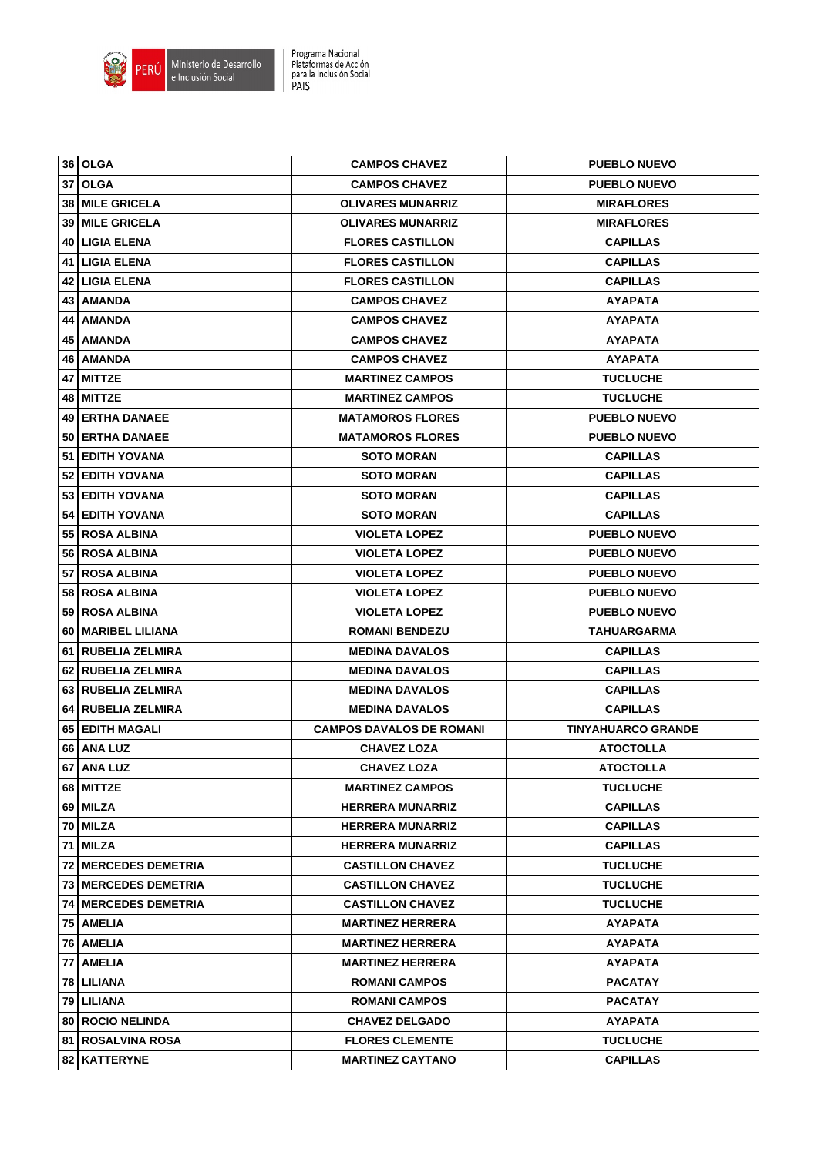

| 36   OLGA                     | <b>CAMPOS CHAVEZ</b>            | <b>PUEBLO NUEVO</b>       |
|-------------------------------|---------------------------------|---------------------------|
| <b>37 OLGA</b>                | <b>CAMPOS CHAVEZ</b>            | <b>PUEBLO NUEVO</b>       |
| 38   MILE GRICELA             | <b>OLIVARES MUNARRIZ</b>        | <b>MIRAFLORES</b>         |
| <b>39   MILE GRICELA</b>      | <b>OLIVARES MUNARRIZ</b>        | <b>MIRAFLORES</b>         |
| <b>40 LIGIA ELENA</b>         | <b>FLORES CASTILLON</b>         | <b>CAPILLAS</b>           |
| 41   LIGIA ELENA              | <b>FLORES CASTILLON</b>         | <b>CAPILLAS</b>           |
| 42   LIGIA ELENA              | <b>FLORES CASTILLON</b>         | <b>CAPILLAS</b>           |
| 43   AMANDA                   | <b>CAMPOS CHAVEZ</b>            | <b>AYAPATA</b>            |
| 44   AMANDA                   | <b>CAMPOS CHAVEZ</b>            | <b>AYAPATA</b>            |
| 45   AMANDA                   | <b>CAMPOS CHAVEZ</b>            | <b>AYAPATA</b>            |
| 46   AMANDA                   | <b>CAMPOS CHAVEZ</b>            | <b>AYAPATA</b>            |
| 47   MITTZE                   | <b>MARTINEZ CAMPOS</b>          | <b>TUCLUCHE</b>           |
| 48   MITTZE                   | <b>MARTINEZ CAMPOS</b>          | <b>TUCLUCHE</b>           |
| 49 ERTHA DANAEE               | <b>MATAMOROS FLORES</b>         | <b>PUEBLO NUEVO</b>       |
| 50 ERTHA DANAEE               | <b>MATAMOROS FLORES</b>         | <b>PUEBLO NUEVO</b>       |
| 51   EDITH YOVANA             | <b>SOTO MORAN</b>               | <b>CAPILLAS</b>           |
| 52 EDITH YOVANA               | <b>SOTO MORAN</b>               | <b>CAPILLAS</b>           |
| 53 EDITH YOVANA               | <b>SOTO MORAN</b>               | <b>CAPILLAS</b>           |
| 54   EDITH YOVANA             | <b>SOTO MORAN</b>               | <b>CAPILLAS</b>           |
| 55   ROSA ALBINA              | <b>VIOLETA LOPEZ</b>            | <b>PUEBLO NUEVO</b>       |
| 56   ROSA ALBINA              | <b>VIOLETA LOPEZ</b>            | <b>PUEBLO NUEVO</b>       |
| 57 ROSA ALBINA                | <b>VIOLETA LOPEZ</b>            | <b>PUEBLO NUEVO</b>       |
| <b>58 ROSA ALBINA</b>         | <b>VIOLETA LOPEZ</b>            | <b>PUEBLO NUEVO</b>       |
| 59   ROSA ALBINA              | <b>VIOLETA LOPEZ</b>            | <b>PUEBLO NUEVO</b>       |
| 60   MARIBEL LILIANA          | <b>ROMANI BENDEZU</b>           | TAHUARGARMA               |
| 61   RUBELIA ZELMIRA          | <b>MEDINA DAVALOS</b>           | <b>CAPILLAS</b>           |
| 62   RUBELIA ZELMIRA          | <b>MEDINA DAVALOS</b>           | <b>CAPILLAS</b>           |
| 63 RUBELIA ZELMIRA            | <b>MEDINA DAVALOS</b>           | <b>CAPILLAS</b>           |
| 64   RUBELIA ZELMIRA          | <b>MEDINA DAVALOS</b>           | <b>CAPILLAS</b>           |
| 65 EDITH MAGALI               | <b>CAMPOS DAVALOS DE ROMANI</b> | <b>TINYAHUARCO GRANDE</b> |
| 66   ANA LUZ                  | <b>CHAVEZ LOZA</b>              | <b>ATOCTOLLA</b>          |
| 67 ANA LUZ                    | <b>CHAVEZ LOZA</b>              | <b>ATOCTOLLA</b>          |
| 68   MITTZE                   | <b>MARTINEZ CAMPOS</b>          | <b>TUCLUCHE</b>           |
| 69   MILZA                    | <b>HERRERA MUNARRIZ</b>         | <b>CAPILLAS</b>           |
| 70 MILZA                      | <b>HERRERA MUNARRIZ</b>         | <b>CAPILLAS</b>           |
| 71   MILZA                    | <b>HERRERA MUNARRIZ</b>         | <b>CAPILLAS</b>           |
| <b>72   MERCEDES DEMETRIA</b> | <b>CASTILLON CHAVEZ</b>         | <b>TUCLUCHE</b>           |
| <b>73   MERCEDES DEMETRIA</b> | <b>CASTILLON CHAVEZ</b>         | <b>TUCLUCHE</b>           |
| <b>74 MERCEDES DEMETRIA</b>   | <b>CASTILLON CHAVEZ</b>         | <b>TUCLUCHE</b>           |
| 75 AMELIA                     | <b>MARTINEZ HERRERA</b>         | <b>AYAPATA</b>            |
| 76   AMELIA                   | <b>MARTINEZ HERRERA</b>         | <b>AYAPATA</b>            |
| 77 AMELIA                     | <b>MARTINEZ HERRERA</b>         | <b>AYAPATA</b>            |
| 78   LILIANA                  | <b>ROMANI CAMPOS</b>            | <b>PACATAY</b>            |
| 79   LILIANA                  | <b>ROMANI CAMPOS</b>            | <b>PACATAY</b>            |
| 80 ROCIO NELINDA              | <b>CHAVEZ DELGADO</b>           | <b>AYAPATA</b>            |
|                               |                                 |                           |
| <b>81   ROSALVINA ROSA</b>    | <b>FLORES CLEMENTE</b>          | <b>TUCLUCHE</b>           |
| 82   KATTERYNE                | <b>MARTINEZ CAYTANO</b>         | <b>CAPILLAS</b>           |